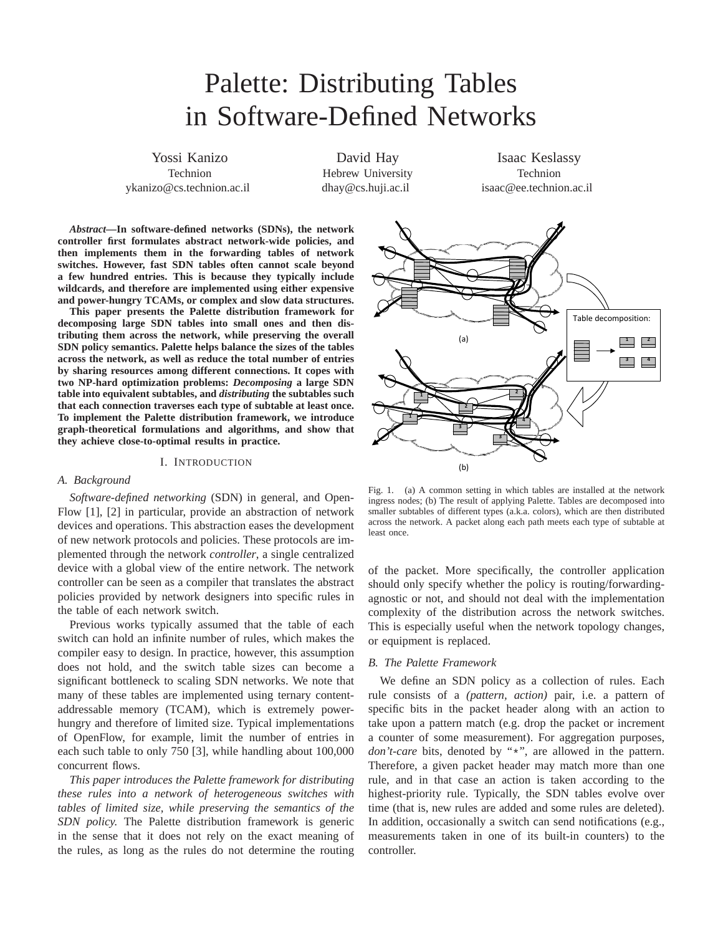# Palette: Distributing Tables in Software-Defined Networks

Yossi Kanizo Technion ykanizo@cs.technion.ac.il

David Hay Hebrew University dhay@cs.huji.ac.il

Isaac Keslassy Technion isaac@ee.technion.ac.il

*Abstract***—In software-defined networks (SDNs), the network controller first formulates abstract network-wide policies, and then implements them in the forwarding tables of network switches. However, fast SDN tables often cannot scale beyond a few hundred entries. This is because they typically include wildcards, and therefore are implemented using either expensive and power-hungry TCAMs, or complex and slow data structures.**

**This paper presents the Palette distribution framework for decomposing large SDN tables into small ones and then distributing them across the network, while preserving the overall SDN policy semantics. Palette helps balance the sizes of the tables across the network, as well as reduce the total number of entries by sharing resources among different connections. It copes with two NP-hard optimization problems:** *Decomposing* **a large SDN table into equivalent subtables, and** *distributing* **the subtables such that each connection traverses each type of subtable at least once. To implement the Palette distribution framework, we introduce graph-theoretical formulations and algorithms, and show that they achieve close-to-optimal results in practice.**

# I. INTRODUCTION

## *A. Background*

*Software-defined networking* (SDN) in general, and Open-Flow [1], [2] in particular, provide an abstraction of network devices and operations. This abstraction eases the development of new network protocols and policies. These protocols are implemented through the network *controller*, a single centralized device with a global view of the entire network. The network controller can be seen as a compiler that translates the abstract policies provided by network designers into specific rules in the table of each network switch.

Previous works typically assumed that the table of each switch can hold an infinite number of rules, which makes the compiler easy to design. In practice, however, this assumption does not hold, and the switch table sizes can become a significant bottleneck to scaling SDN networks. We note that many of these tables are implemented using ternary contentaddressable memory (TCAM), which is extremely powerhungry and therefore of limited size. Typical implementations of OpenFlow, for example, limit the number of entries in each such table to only 750 [3], while handling about 100,000 concurrent flows.

*This paper introduces the Palette framework for distributing these rules into a network of heterogeneous switches with tables of limited size, while preserving the semantics of the SDN policy.* The Palette distribution framework is generic in the sense that it does not rely on the exact meaning of the rules, as long as the rules do not determine the routing



Fig. 1. (a) A common setting in which tables are installed at the network ingress nodes; (b) The result of applying Palette. Tables are decomposed into smaller subtables of different types (a.k.a. colors), which are then distributed across the network. A packet along each path meets each type of subtable at least once.

of the packet. More specifically, the controller application should only specify whether the policy is routing/forwardingagnostic or not, and should not deal with the implementation complexity of the distribution across the network switches. This is especially useful when the network topology changes, or equipment is replaced.

# *B. The Palette Framework*

We define an SDN policy as a collection of rules. Each rule consists of a *(pattern, action)* pair, i.e. a pattern of specific bits in the packet header along with an action to take upon a pattern match (e.g. drop the packet or increment a counter of some measurement). For aggregation purposes, *don't-care* bits, denoted by "\*", are allowed in the pattern. Therefore, a given packet header may match more than one rule, and in that case an action is taken according to the highest-priority rule. Typically, the SDN tables evolve over time (that is, new rules are added and some rules are deleted). In addition, occasionally a switch can send notifications (e.g., measurements taken in one of its built-in counters) to the controller.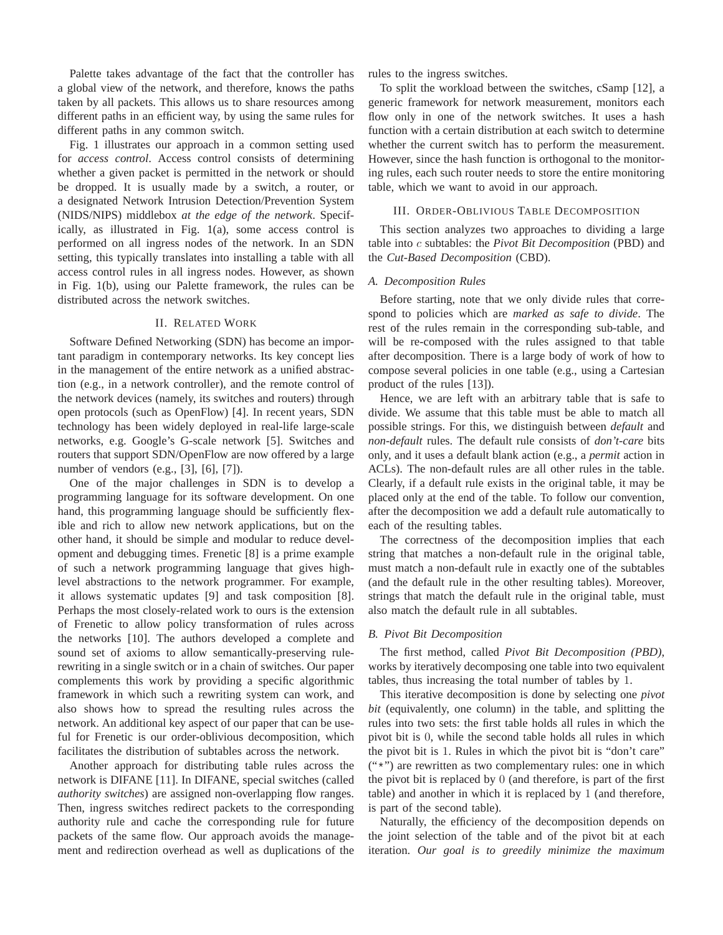Palette takes advantage of the fact that the controller has a global view of the network, and therefore, knows the paths taken by all packets. This allows us to share resources among different paths in an efficient way, by using the same rules for different paths in any common switch.

Fig. 1 illustrates our approach in a common setting used for *access control*. Access control consists of determining whether a given packet is permitted in the network or should be dropped. It is usually made by a switch, a router, or a designated Network Intrusion Detection/Prevention System (NIDS/NIPS) middlebox *at the edge of the network*. Specifically, as illustrated in Fig. 1(a), some access control is performed on all ingress nodes of the network. In an SDN setting, this typically translates into installing a table with all access control rules in all ingress nodes. However, as shown in Fig. 1(b), using our Palette framework, the rules can be distributed across the network switches.

# II. RELATED WORK

Software Defined Networking (SDN) has become an important paradigm in contemporary networks. Its key concept lies in the management of the entire network as a unified abstraction (e.g., in a network controller), and the remote control of the network devices (namely, its switches and routers) through open protocols (such as OpenFlow) [4]. In recent years, SDN technology has been widely deployed in real-life large-scale networks, e.g. Google's G-scale network [5]. Switches and routers that support SDN/OpenFlow are now offered by a large number of vendors (e.g., [3], [6], [7]).

One of the major challenges in SDN is to develop a programming language for its software development. On one hand, this programming language should be sufficiently flexible and rich to allow new network applications, but on the other hand, it should be simple and modular to reduce development and debugging times. Frenetic [8] is a prime example of such a network programming language that gives highlevel abstractions to the network programmer. For example, it allows systematic updates [9] and task composition [8]. Perhaps the most closely-related work to ours is the extension of Frenetic to allow policy transformation of rules across the networks [10]. The authors developed a complete and sound set of axioms to allow semantically-preserving rulerewriting in a single switch or in a chain of switches. Our paper complements this work by providing a specific algorithmic framework in which such a rewriting system can work, and also shows how to spread the resulting rules across the network. An additional key aspect of our paper that can be useful for Frenetic is our order-oblivious decomposition, which facilitates the distribution of subtables across the network.

Another approach for distributing table rules across the network is DIFANE [11]. In DIFANE, special switches (called *authority switches*) are assigned non-overlapping flow ranges. Then, ingress switches redirect packets to the corresponding authority rule and cache the corresponding rule for future packets of the same flow. Our approach avoids the management and redirection overhead as well as duplications of the rules to the ingress switches.

To split the workload between the switches, cSamp [12], a generic framework for network measurement, monitors each flow only in one of the network switches. It uses a hash function with a certain distribution at each switch to determine whether the current switch has to perform the measurement. However, since the hash function is orthogonal to the monitoring rules, each such router needs to store the entire monitoring table, which we want to avoid in our approach.

#### III. ORDER-OBLIVIOUS TABLE DECOMPOSITION

This section analyzes two approaches to dividing a large table into c subtables: the *Pivot Bit Decomposition* (PBD) and the *Cut-Based Decomposition* (CBD).

## *A. Decomposition Rules*

Before starting, note that we only divide rules that correspond to policies which are *marked as safe to divide*. The rest of the rules remain in the corresponding sub-table, and will be re-composed with the rules assigned to that table after decomposition. There is a large body of work of how to compose several policies in one table (e.g., using a Cartesian product of the rules [13]).

Hence, we are left with an arbitrary table that is safe to divide. We assume that this table must be able to match all possible strings. For this, we distinguish between *default* and *non-default* rules. The default rule consists of *don't-care* bits only, and it uses a default blank action (e.g., a *permit* action in ACLs). The non-default rules are all other rules in the table. Clearly, if a default rule exists in the original table, it may be placed only at the end of the table. To follow our convention, after the decomposition we add a default rule automatically to each of the resulting tables.

The correctness of the decomposition implies that each string that matches a non-default rule in the original table, must match a non-default rule in exactly one of the subtables (and the default rule in the other resulting tables). Moreover, strings that match the default rule in the original table, must also match the default rule in all subtables.

## *B. Pivot Bit Decomposition*

The first method, called *Pivot Bit Decomposition (PBD)*, works by iteratively decomposing one table into two equivalent tables, thus increasing the total number of tables by 1.

This iterative decomposition is done by selecting one *pivot bit* (equivalently, one column) in the table, and splitting the rules into two sets: the first table holds all rules in which the pivot bit is 0, while the second table holds all rules in which the pivot bit is 1. Rules in which the pivot bit is "don't care"  $("*)$  are rewritten as two complementary rules: one in which the pivot bit is replaced by 0 (and therefore, is part of the first table) and another in which it is replaced by 1 (and therefore, is part of the second table).

Naturally, the efficiency of the decomposition depends on the joint selection of the table and of the pivot bit at each iteration. *Our goal is to greedily minimize the maximum*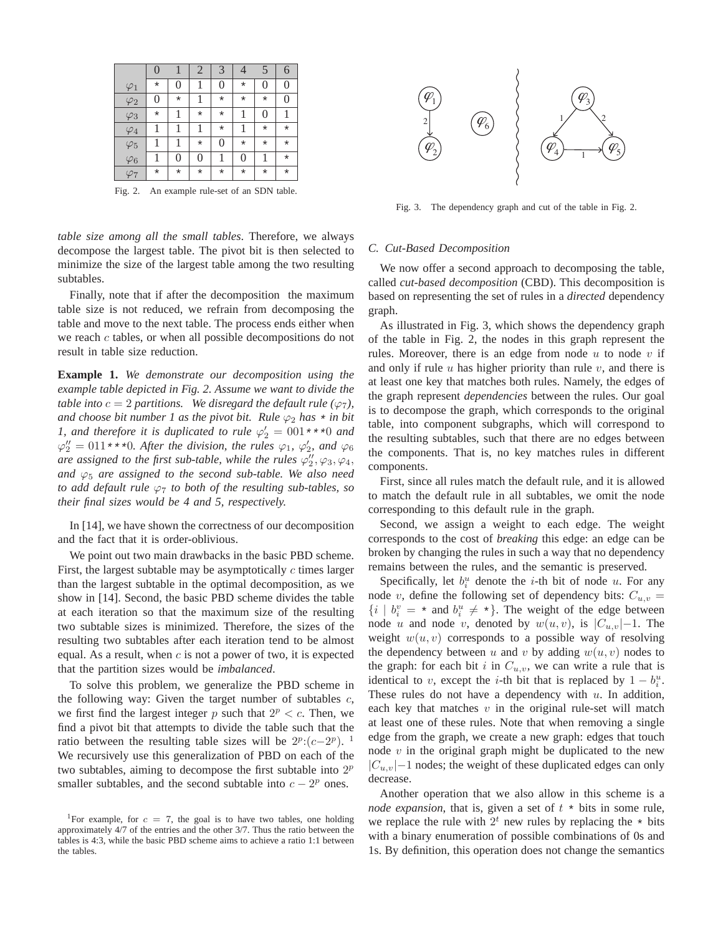|             | $\overline{0}$ |                | $\overline{2}$ | 3              | 4              | 5        | 6              |
|-------------|----------------|----------------|----------------|----------------|----------------|----------|----------------|
| $\varphi_1$ | $\star$        | $\overline{0}$ |                | 0              | $\star$        | 0        | $\overline{0}$ |
| $\varphi_2$ | 0              | $\star$        |                | $\star$        | $\star$        | $\star$  | $\overline{0}$ |
| $\varphi_3$ | $^\star$       | 1              | $\star$        | $\star$        |                | 0        |                |
| $\varphi_4$ |                | 1              | 1              | $\star$        |                | $\star$  | $\star$        |
| $\varphi_5$ |                | 1              | $\star$        | $\overline{0}$ | $^\star$       | $^\star$ | $\star$        |
| $\varphi_6$ |                | 0              | 0              | 1              | $\overline{0}$ | 1        | $^\star$       |
| $\varphi_7$ | *              | $\star$        | $\star$        | $\star$        | $^\star$       | $^\star$ | $\star$        |

Fig. 2. An example rule-set of an SDN table.

*table size among all the small tables*. Therefore, we always decompose the largest table. The pivot bit is then selected to minimize the size of the largest table among the two resulting subtables.

Finally, note that if after the decomposition the maximum table size is not reduced, we refrain from decomposing the table and move to the next table. The process ends either when we reach  $c$  tables, or when all possible decompositions do not result in table size reduction.

**Example 1.** *We demonstrate our decomposition using the example table depicted in Fig. 2. Assume we want to divide the table into*  $c = 2$  *partitions.* We disregard the default rule ( $\varphi$ <sub>7</sub>), *and choose bit number 1 as the pivot bit. Rule*  $\varphi_2$  *has*  $\star$  *in bit 1, and therefore it is duplicated to rule*  $\varphi'_2 = 001**0$  *and*  $\varphi''_2 = 011***0$ . After the division, the rules  $\varphi_1$ ,  $\varphi'_2$ , and  $\varphi_6$ are assigned to the first sub-table, while the rules  $\varphi_2''$ ,  $\varphi_3$ ,  $\varphi_4$ , *and*  $\varphi_5$  *are assigned to the second sub-table. We also need to add default rule* ϕ<sup>7</sup> *to both of the resulting sub-tables, so their final sizes would be 4 and 5, respectively.*

In [14], we have shown the correctness of our decomposition and the fact that it is order-oblivious.

We point out two main drawbacks in the basic PBD scheme. First, the largest subtable may be asymptotically  $c$  times larger than the largest subtable in the optimal decomposition, as we show in [14]. Second, the basic PBD scheme divides the table at each iteration so that the maximum size of the resulting two subtable sizes is minimized. Therefore, the sizes of the resulting two subtables after each iteration tend to be almost equal. As a result, when  $c$  is not a power of two, it is expected that the partition sizes would be *imbalanced*.

To solve this problem, we generalize the PBD scheme in the following way: Given the target number of subtables  $c$ , we first find the largest integer p such that  $2^p < c$ . Then, we find a pivot bit that attempts to divide the table such that the ratio between the resulting table sizes will be  $2^p:(c-2^p)$ . 1 We recursively use this generalization of PBD on each of the two subtables, aiming to decompose the first subtable into  $2^p$ smaller subtables, and the second subtable into  $c - 2^p$  ones.



Fig. 3. The dependency graph and cut of the table in Fig. 2.

#### *C. Cut-Based Decomposition*

We now offer a second approach to decomposing the table, called *cut-based decomposition* (CBD). This decomposition is based on representing the set of rules in a *directed* dependency graph.

As illustrated in Fig. 3, which shows the dependency graph of the table in Fig. 2, the nodes in this graph represent the rules. Moreover, there is an edge from node  $u$  to node  $v$  if and only if rule  $u$  has higher priority than rule  $v$ , and there is at least one key that matches both rules. Namely, the edges of the graph represent *dependencies* between the rules. Our goal is to decompose the graph, which corresponds to the original table, into component subgraphs, which will correspond to the resulting subtables, such that there are no edges between the components. That is, no key matches rules in different components.

First, since all rules match the default rule, and it is allowed to match the default rule in all subtables, we omit the node corresponding to this default rule in the graph.

Second, we assign a weight to each edge. The weight corresponds to the cost of *breaking* this edge: an edge can be broken by changing the rules in such a way that no dependency remains between the rules, and the semantic is preserved.

Specifically, let  $b_i^u$  denote the *i*-th bit of node *u*. For any node v, define the following set of dependency bits:  $C_{u,v}$  =  $\{i \mid b_i^v = * \text{ and } b_i^u \neq * \}.$  The weight of the edge between node u and node v, denoted by  $w(u, v)$ , is  $|C_{u,v}|$ −1. The weight  $w(u, v)$  corresponds to a possible way of resolving the dependency between u and v by adding  $w(u, v)$  nodes to the graph: for each bit i in  $C_{u,v}$ , we can write a rule that is identical to v, except the *i*-th bit that is replaced by  $1 - b_i^u$ . These rules do not have a dependency with  $u$ . In addition, each key that matches  $v$  in the original rule-set will match at least one of these rules. Note that when removing a single edge from the graph, we create a new graph: edges that touch node  $v$  in the original graph might be duplicated to the new  $|C_{u,v}|-1$  nodes; the weight of these duplicated edges can only decrease.

Another operation that we also allow in this scheme is a *node expansion*, that is, given a set of  $t *$  bits in some rule, we replace the rule with  $2^t$  new rules by replacing the  $*$  bits with a binary enumeration of possible combinations of 0s and 1s. By definition, this operation does not change the semantics

<sup>&</sup>lt;sup>1</sup>For example, for  $c = 7$ , the goal is to have two tables, one holding approximately 4/7 of the entries and the other 3/7. Thus the ratio between the tables is 4:3, while the basic PBD scheme aims to achieve a ratio 1:1 between the tables.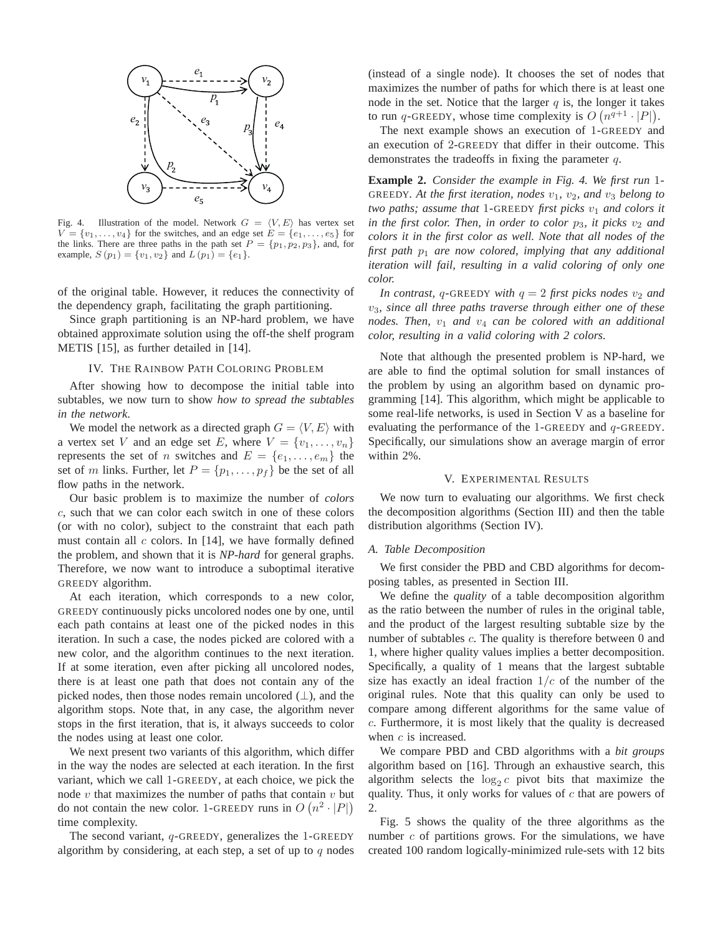

Fig. 4. Illustration of the model. Network  $G = \langle V, E \rangle$  has vertex set  $V = \{v_1, \ldots, v_4\}$  for the switches, and an edge set  $E = \{e_1, \ldots, e_5\}$  for the links. There are three paths in the path set  $P = \{p_1, p_2, p_3\}$ , and, for example,  $S(p_1) = \{v_1, v_2\}$  and  $L(p_1) = \{e_1\}.$ 

of the original table. However, it reduces the connectivity of the dependency graph, facilitating the graph partitioning.

Since graph partitioning is an NP-hard problem, we have obtained approximate solution using the off-the shelf program METIS [15], as further detailed in [14].

# IV. THE RAINBOW PATH COLORING PROBLEM

After showing how to decompose the initial table into subtables, we now turn to show *how to spread the subtables in the network*.

We model the network as a directed graph  $G = \langle V, E \rangle$  with a vertex set V and an edge set E, where  $V = \{v_1, \ldots, v_n\}$ represents the set of *n* switches and  $E = \{e_1, \ldots, e_m\}$  the set of m links. Further, let  $P = \{p_1, \ldots, p_f\}$  be the set of all flow paths in the network.

Our basic problem is to maximize the number of *colors* c, such that we can color each switch in one of these colors (or with no color), subject to the constraint that each path must contain all  $c$  colors. In [14], we have formally defined the problem, and shown that it is *NP-hard* for general graphs. Therefore, we now want to introduce a suboptimal iterative GREEDY algorithm.

At each iteration, which corresponds to a new color, GREEDY continuously picks uncolored nodes one by one, until each path contains at least one of the picked nodes in this iteration. In such a case, the nodes picked are colored with a new color, and the algorithm continues to the next iteration. If at some iteration, even after picking all uncolored nodes, there is at least one path that does not contain any of the picked nodes, then those nodes remain uncolored  $(\perp)$ , and the algorithm stops. Note that, in any case, the algorithm never stops in the first iteration, that is, it always succeeds to color the nodes using at least one color.

We next present two variants of this algorithm, which differ in the way the nodes are selected at each iteration. In the first variant, which we call 1-GREEDY, at each choice, we pick the node  $v$  that maximizes the number of paths that contain  $v$  but do not contain the new color. 1-GREEDY runs in  $O(n^2 \cdot |P|)$ time complexity.

The second variant,  $q$ -GREEDY, generalizes the 1-GREEDY algorithm by considering, at each step, a set of up to  $q$  nodes

(instead of a single node). It chooses the set of nodes that maximizes the number of paths for which there is at least one node in the set. Notice that the larger  $q$  is, the longer it takes to run q-GREEDY, whose time complexity is  $O(n^{q+1} \cdot |P|)$ .

The next example shows an execution of 1-GREEDY and an execution of 2-GREEDY that differ in their outcome. This demonstrates the tradeoffs in fixing the parameter  $q$ .

**Example 2.** *Consider the example in Fig. 4. We first run* 1- GREEDY. At the first iteration, nodes  $v_1$ ,  $v_2$ , and  $v_3$  belong to *two paths; assume that* 1-GREEDY *first picks*  $v_1$  *and colors it in the first color. Then, in order to color*  $p_3$ *, it picks*  $v_2$  *and colors it in the first color as well. Note that all nodes of the first path* p<sup>1</sup> *are now colored, implying that any additional iteration will fail, resulting in a valid coloring of only one color.*

*In contrast,* q-GREEDY *with*  $q = 2$  *first picks nodes*  $v_2$  *and* v3*, since all three paths traverse through either one of these nodes. Then,* v<sup>1</sup> *and* v<sup>4</sup> *can be colored with an additional color, resulting in a valid coloring with 2 colors.*

Note that although the presented problem is NP-hard, we are able to find the optimal solution for small instances of the problem by using an algorithm based on dynamic programming [14]. This algorithm, which might be applicable to some real-life networks, is used in Section V as a baseline for evaluating the performance of the 1-GREEDY and  $q$ -GREEDY. Specifically, our simulations show an average margin of error within 2%.

#### V. EXPERIMENTAL RESULTS

We now turn to evaluating our algorithms. We first check the decomposition algorithms (Section III) and then the table distribution algorithms (Section IV).

#### *A. Table Decomposition*

We first consider the PBD and CBD algorithms for decomposing tables, as presented in Section III.

We define the *quality* of a table decomposition algorithm as the ratio between the number of rules in the original table, and the product of the largest resulting subtable size by the number of subtables c. The quality is therefore between 0 and 1, where higher quality values implies a better decomposition. Specifically, a quality of 1 means that the largest subtable size has exactly an ideal fraction  $1/c$  of the number of the original rules. Note that this quality can only be used to compare among different algorithms for the same value of c. Furthermore, it is most likely that the quality is decreased when  $c$  is increased.

We compare PBD and CBD algorithms with a *bit groups* algorithm based on [16]. Through an exhaustive search, this algorithm selects the  $log_2 c$  pivot bits that maximize the quality. Thus, it only works for values of  $c$  that are powers of 2.

Fig. 5 shows the quality of the three algorithms as the number  $c$  of partitions grows. For the simulations, we have created 100 random logically-minimized rule-sets with 12 bits